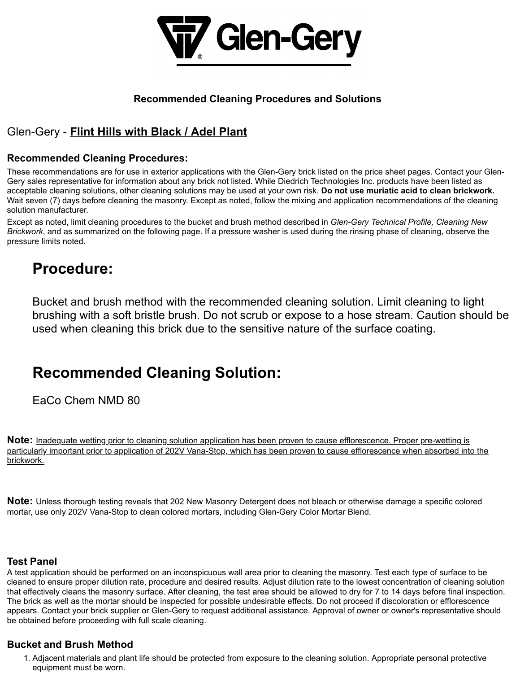

### **Recommended Cleaning Procedures and Solutions**

## Glen-Gery - **Flint Hills with Black / Adel Plant**

#### **Recommended Cleaning Procedures:**

These recommendations are for use in exterior applications with the Glen-Gery brick listed on the price sheet pages. Contact your Glen-Gery sales representative for information about any brick not listed. While Diedrich Technologies Inc. products have been listed as acceptable cleaning solutions, other cleaning solutions may be used at your own risk. **Do not use muriatic acid to clean brickwork.** Wait seven (7) days before cleaning the masonry. Except as noted, follow the mixing and application recommendations of the cleaning solution manufacturer.

Except as noted, limit cleaning procedures to the bucket and brush method described in *Glen-Gery Technical Profile, Cleaning New Brickwork*, and as summarized on the following page. If a pressure washer is used during the rinsing phase of cleaning, observe the pressure limits noted.

# **Procedure:**

Bucket and brush method with the recommended cleaning solution. Limit cleaning to light brushing with a soft bristle brush. Do not scrub or expose to a hose stream. Caution should be used when cleaning this brick due to the sensitive nature of the surface coating.

# **Recommended Cleaning Solution:**

EaCo Chem NMD 80

**Note:** Inadequate wetting prior to cleaning solution application has been proven to cause efflorescence. Proper pre-wetting is particularly important prior to application of 202V Vana-Stop, which has been proven to cause efflorescence when absorbed into the brickwork.

**Note:** Unless thorough testing reveals that 202 New Masonry Detergent does not bleach or otherwise damage a specific colored mortar, use only 202V Vana-Stop to clean colored mortars, including Glen-Gery Color Mortar Blend.

#### **Test Panel**

A test application should be performed on an inconspicuous wall area prior to cleaning the masonry. Test each type of surface to be cleaned to ensure proper dilution rate, procedure and desired results. Adjust dilution rate to the lowest concentration of cleaning solution that effectively cleans the masonry surface. After cleaning, the test area should be allowed to dry for 7 to 14 days before final inspection. The brick as well as the mortar should be inspected for possible undesirable effects. Do not proceed if discoloration or efflorescence appears. Contact your brick supplier or Glen-Gery to request additional assistance. Approval of owner or owner's representative should be obtained before proceeding with full scale cleaning.

### **Bucket and Brush Method**

1. Adjacent materials and plant life should be protected from exposure to the cleaning solution. Appropriate personal protective equipment must be worn.